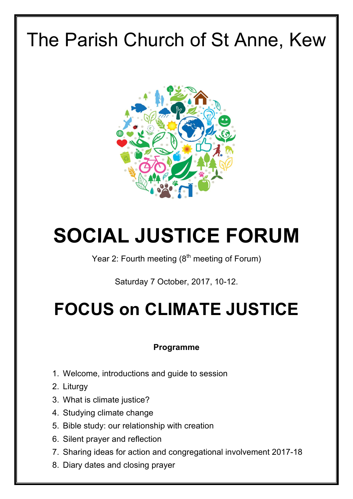## The Parish Church of St Anne, Kew



# **SOCIAL JUSTICE FORUM**

Year 2: Fourth meeting  $(8<sup>th</sup>$  meeting of Forum)

Saturday 7 October, 2017, 10-12.

## **FOCUS on CLIMATE JUSTICE**

## **Programme**

- 1. Welcome, introductions and guide to session
- 2. Liturgy
- 3. What is climate justice?
- 4. Studying climate change
- 5. Bible study: our relationship with creation
- 6. Silent prayer and reflection
- 7. Sharing ideas for action and congregational involvement 2017-18
- 8. Diary dates and closing prayer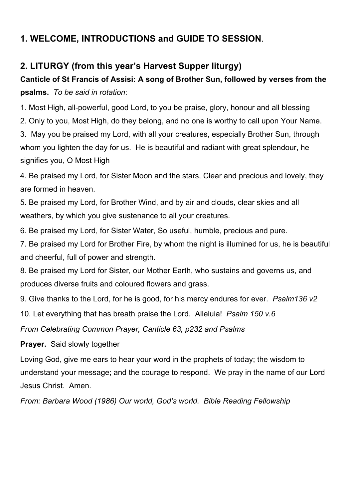## **1. WELCOME, INTRODUCTIONS and GUIDE TO SESSION**.

## **2. LITURGY (from this year's Harvest Supper liturgy)**

## **Canticle of St Francis of Assisi: A song of Brother Sun, followed by verses from the psalms.** *To be said in rotation*:

1. Most High, all-powerful, good Lord, to you be praise, glory, honour and all blessing

2. Only to you, Most High, do they belong, and no one is worthy to call upon Your Name.

3. May you be praised my Lord, with all your creatures, especially Brother Sun, through whom you lighten the day for us. He is beautiful and radiant with great splendour, he signifies you, O Most High

4. Be praised my Lord, for Sister Moon and the stars, Clear and precious and lovely, they are formed in heaven.

5. Be praised my Lord, for Brother Wind, and by air and clouds, clear skies and all weathers, by which you give sustenance to all your creatures.

6. Be praised my Lord, for Sister Water, So useful, humble, precious and pure.

7. Be praised my Lord for Brother Fire, by whom the night is illumined for us, he is beautiful and cheerful, full of power and strength.

8. Be praised my Lord for Sister, our Mother Earth, who sustains and governs us, and produces diverse fruits and coloured flowers and grass.

9. Give thanks to the Lord, for he is good, for his mercy endures for ever. *Psalm136 v2*

10. Let everything that has breath praise the Lord. Alleluia! *Psalm 150 v.6*

*From Celebrating Common Prayer, Canticle 63, p232 and Psalms*

**Prayer.** Said slowly together

Loving God, give me ears to hear your word in the prophets of today; the wisdom to understand your message; and the courage to respond. We pray in the name of our Lord Jesus Christ. Amen.

*From: Barbara Wood (1986) Our world, God's world. Bible Reading Fellowship*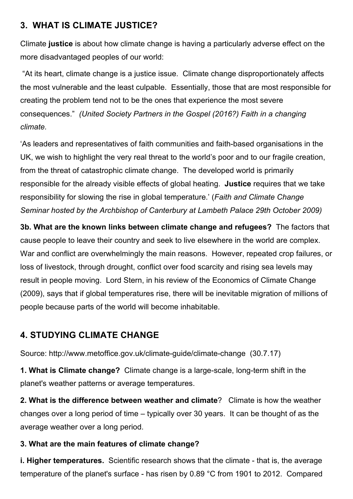## **3. WHAT IS CLIMATE JUSTICE?**

Climate **justice** is about how climate change is having a particularly adverse effect on the more disadvantaged peoples of our world:

"At its heart, climate change is a justice issue. Climate change disproportionately affects the most vulnerable and the least culpable. Essentially, those that are most responsible for creating the problem tend not to be the ones that experience the most severe consequences." *(United Society Partners in the Gospel (2016?) Faith in a changing climate.* 

'As leaders and representatives of faith communities and faith-based organisations in the UK, we wish to highlight the very real threat to the world's poor and to our fragile creation, from the threat of catastrophic climate change. The developed world is primarily responsible for the already visible effects of global heating. **Justice** requires that we take responsibility for slowing the rise in global temperature.' (*Faith and Climate Change Seminar hosted by the Archbishop of Canterbury at Lambeth Palace 29th October 2009)*

**3b. What are the known links between climate change and refugees?** The factors that cause people to leave their country and seek to live elsewhere in the world are complex. War and conflict are overwhelmingly the main reasons. However, repeated crop failures, or loss of livestock, through drought, conflict over food scarcity and rising sea levels may result in people moving. Lord Stern, in his review of the Economics of Climate Change (2009), says that if global temperatures rise, there will be inevitable migration of millions of people because parts of the world will become inhabitable.

## **4. STUDYING CLIMATE CHANGE**

Source: http://www.metoffice.gov.uk/climate-guide/climate-change (30.7.17)

**1. What is Climate change?** Climate change is a large-scale, long-term shift in the planet's weather patterns or average temperatures.

**2. What is the difference between weather and climate**? Climate is how the weather changes over a long period of time – typically over 30 years. It can be thought of as the average weather over a long period.

#### **3. What are the main features of climate change?**

**i. Higher temperatures.** Scientific research shows that the climate - that is, the average temperature of the planet's surface - has risen by 0.89 °C from 1901 to 2012. Compared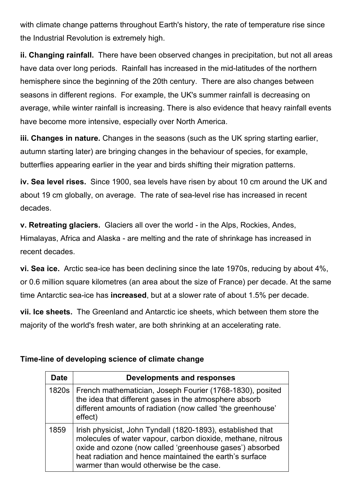with climate change patterns throughout Earth's history, the rate of temperature rise since the Industrial Revolution is extremely high.

**ii. Changing rainfall.** There have been observed changes in precipitation, but not all areas have data over long periods. Rainfall has increased in the mid-latitudes of the northern hemisphere since the beginning of the 20th century. There are also changes between seasons in different regions. For example, the UK's summer rainfall is decreasing on average, while winter rainfall is increasing. There is also evidence that heavy rainfall events have become more intensive, especially over North America.

**iii. Changes in nature.** Changes in the seasons (such as the UK spring starting earlier, autumn starting later) are bringing changes in the behaviour of species, for example, butterflies appearing earlier in the year and birds shifting their migration patterns.

**iv. Sea level rises.** Since 1900, sea levels have risen by about 10 cm around the UK and about 19 cm globally, on average. The rate of sea-level rise has increased in recent decades.

**v. Retreating glaciers.** Glaciers all over the world - in the Alps, Rockies, Andes, Himalayas, Africa and Alaska - are melting and the rate of shrinkage has increased in recent decades.

**vi. Sea ice.** Arctic sea-ice has been declining since the late 1970s, reducing by about 4%, or 0.6 million square kilometres (an area about the size of France) per decade. At the same time Antarctic sea-ice has **increased**, but at a slower rate of about 1.5% per decade.

**vii. Ice sheets.** The Greenland and Antarctic ice sheets, which between them store the majority of the world's fresh water, are both shrinking at an accelerating rate.

#### **Time-line of developing science of climate change**

| <b>Date</b> | <b>Developments and responses</b>                                                                                                                                                                                                                                                             |
|-------------|-----------------------------------------------------------------------------------------------------------------------------------------------------------------------------------------------------------------------------------------------------------------------------------------------|
|             | 1820s   French mathematician, Joseph Fourier (1768-1830), posited<br>the idea that different gases in the atmosphere absorb<br>different amounts of radiation (now called 'the greenhouse'<br>effect)                                                                                         |
| 1859        | Irish physicist, John Tyndall (1820-1893), established that<br>molecules of water vapour, carbon dioxide, methane, nitrous<br>oxide and ozone (now called 'greenhouse gases') absorbed<br>heat radiation and hence maintained the earth's surface<br>warmer than would otherwise be the case. |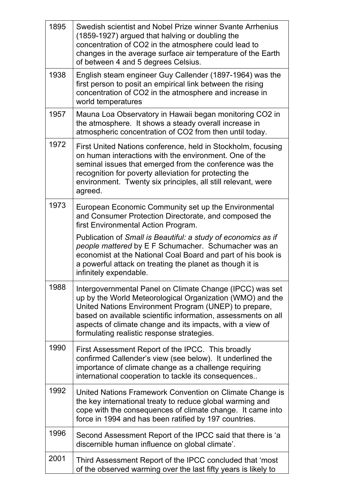| 1895 | Swedish scientist and Nobel Prize winner Svante Arrhenius<br>(1859-1927) argued that halving or doubling the<br>concentration of CO2 in the atmosphere could lead to<br>changes in the average surface air temperature of the Earth<br>of between 4 and 5 degrees Celsius.                                                                                 |
|------|------------------------------------------------------------------------------------------------------------------------------------------------------------------------------------------------------------------------------------------------------------------------------------------------------------------------------------------------------------|
| 1938 | English steam engineer Guy Callender (1897-1964) was the<br>first person to posit an empirical link between the rising<br>concentration of CO2 in the atmosphere and increase in<br>world temperatures                                                                                                                                                     |
| 1957 | Mauna Loa Observatory in Hawaii began monitoring CO2 in<br>the atmosphere. It shows a steady overall increase in<br>atmospheric concentration of CO2 from then until today.                                                                                                                                                                                |
| 1972 | First United Nations conference, held in Stockholm, focusing<br>on human interactions with the environment. One of the<br>seminal issues that emerged from the conference was the<br>recognition for poverty alleviation for protecting the<br>environment. Twenty six principles, all still relevant, were<br>agreed.                                     |
| 1973 | European Economic Community set up the Environmental<br>and Consumer Protection Directorate, and composed the<br>first Environmental Action Program.                                                                                                                                                                                                       |
|      | Publication of Small is Beautiful: a study of economics as if<br>people mattered by E F Schumacher. Schumacher was an<br>economist at the National Coal Board and part of his book is<br>a powerful attack on treating the planet as though it is<br>infinitely expendable.                                                                                |
| 1988 | Intergovernmental Panel on Climate Change (IPCC) was set<br>up by the World Meteorological Organization (WMO) and the<br>United Nations Environment Program (UNEP) to prepare,<br>based on available scientific information, assessments on all<br>aspects of climate change and its impacts, with a view of<br>formulating realistic response strategies. |
| 1990 | First Assessment Report of the IPCC. This broadly<br>confirmed Callender's view (see below). It underlined the<br>importance of climate change as a challenge requiring<br>international cooperation to tackle its consequences                                                                                                                            |
| 1992 | United Nations Framework Convention on Climate Change is<br>the key international treaty to reduce global warming and<br>cope with the consequences of climate change. It came into<br>force in 1994 and has been ratified by 197 countries.                                                                                                               |
| 1996 | Second Assessment Report of the IPCC said that there is 'a<br>discernible human influence on global climate'.                                                                                                                                                                                                                                              |
| 2001 | Third Assessment Report of the IPCC concluded that 'most<br>of the observed warming over the last fifty years is likely to                                                                                                                                                                                                                                 |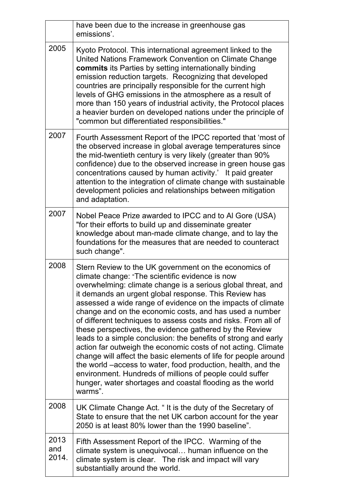|                      | have been due to the increase in greenhouse gas<br>emissions'.                                                                                                                                                                                                                                                                                                                                                                                                                                                                                                                                                                                                                                                                                                                                                                                                                                     |
|----------------------|----------------------------------------------------------------------------------------------------------------------------------------------------------------------------------------------------------------------------------------------------------------------------------------------------------------------------------------------------------------------------------------------------------------------------------------------------------------------------------------------------------------------------------------------------------------------------------------------------------------------------------------------------------------------------------------------------------------------------------------------------------------------------------------------------------------------------------------------------------------------------------------------------|
| 2005                 | Kyoto Protocol. This international agreement linked to the<br>United Nations Framework Convention on Climate Change<br>commits its Parties by setting internationally binding<br>emission reduction targets. Recognizing that developed<br>countries are principally responsible for the current high<br>levels of GHG emissions in the atmosphere as a result of<br>more than 150 years of industrial activity, the Protocol places<br>a heavier burden on developed nations under the principle of<br>"common but differentiated responsibilities."                                                                                                                                                                                                                                                                                                                                              |
| 2007                 | Fourth Assessment Report of the IPCC reported that 'most of<br>the observed increase in global average temperatures since<br>the mid-twentieth century is very likely (greater than 90%<br>confidence) due to the observed increase in green house gas<br>concentrations caused by human activity.' It paid greater<br>attention to the integration of climate change with sustainable<br>development policies and relationships between mitigation<br>and adaptation.                                                                                                                                                                                                                                                                                                                                                                                                                             |
| 2007                 | Nobel Peace Prize awarded to IPCC and to AI Gore (USA)<br>"for their efforts to build up and disseminate greater<br>knowledge about man-made climate change, and to lay the<br>foundations for the measures that are needed to counteract<br>such change".                                                                                                                                                                                                                                                                                                                                                                                                                                                                                                                                                                                                                                         |
| 2008                 | Stern Review to the UK government on the economics of<br>climate change: "The scientific evidence is now<br>overwhelming: climate change is a serious global threat, and<br>it demands an urgent global response. This Review has<br>assessed a wide range of evidence on the impacts of climate<br>change and on the economic costs, and has used a number<br>of different techniques to assess costs and risks. From all of<br>these perspectives, the evidence gathered by the Review<br>leads to a simple conclusion: the benefits of strong and early<br>action far outweigh the economic costs of not acting. Climate<br>change will affect the basic elements of life for people around<br>the world –access to water, food production, health, and the<br>environment. Hundreds of millions of people could suffer<br>hunger, water shortages and coastal flooding as the world<br>warms". |
| 2008                 | UK Climate Change Act. "It is the duty of the Secretary of<br>State to ensure that the net UK carbon account for the year<br>2050 is at least 80% lower than the 1990 baseline".                                                                                                                                                                                                                                                                                                                                                                                                                                                                                                                                                                                                                                                                                                                   |
| 2013<br>and<br>2014. | Fifth Assessment Report of the IPCC. Warming of the<br>climate system is unequivocal human influence on the<br>climate system is clear. The risk and impact will vary<br>substantially around the world.                                                                                                                                                                                                                                                                                                                                                                                                                                                                                                                                                                                                                                                                                           |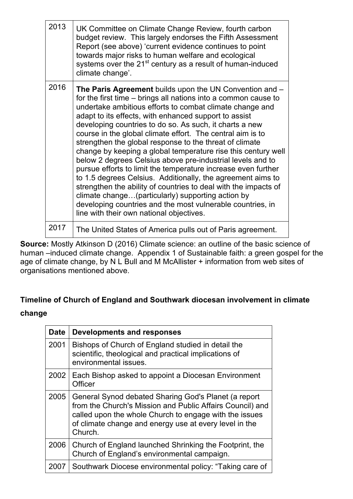| 2013 | UK Committee on Climate Change Review, fourth carbon<br>budget review. This largely endorses the Fifth Assessment<br>Report (see above) 'current evidence continues to point<br>towards major risks to human welfare and ecological<br>systems over the 21 <sup>st</sup> century as a result of human-induced<br>climate change'.                                                                                                                                                                                                                                                                                                                                                                                                                                                                                                                                                                                                   |
|------|-------------------------------------------------------------------------------------------------------------------------------------------------------------------------------------------------------------------------------------------------------------------------------------------------------------------------------------------------------------------------------------------------------------------------------------------------------------------------------------------------------------------------------------------------------------------------------------------------------------------------------------------------------------------------------------------------------------------------------------------------------------------------------------------------------------------------------------------------------------------------------------------------------------------------------------|
| 2016 | The Paris Agreement builds upon the UN Convention and -<br>for the first time – brings all nations into a common cause to<br>undertake ambitious efforts to combat climate change and<br>adapt to its effects, with enhanced support to assist<br>developing countries to do so. As such, it charts a new<br>course in the global climate effort. The central aim is to<br>strengthen the global response to the threat of climate<br>change by keeping a global temperature rise this century well<br>below 2 degrees Celsius above pre-industrial levels and to<br>pursue efforts to limit the temperature increase even further<br>to 1.5 degrees Celsius. Additionally, the agreement aims to<br>strengthen the ability of countries to deal with the impacts of<br>climate change(particularly) supporting action by<br>developing countries and the most vulnerable countries, in<br>line with their own national objectives. |
| 2017 | The United States of America pulls out of Paris agreement.                                                                                                                                                                                                                                                                                                                                                                                                                                                                                                                                                                                                                                                                                                                                                                                                                                                                          |

**Source:** Mostly Atkinson D (2016) Climate science: an outline of the basic science of human –induced climate change. Appendix 1 of Sustainable faith: a green gospel for the age of climate change, by N L Bull and M McAllister  $+$  information from web sites of organisations mentioned above.

## **Timeline of Church of England and Southwark diocesan involvement in climate**

#### **change**

| <b>Date</b> | <b>Developments and responses</b>                                                                                                                                                                                                                |
|-------------|--------------------------------------------------------------------------------------------------------------------------------------------------------------------------------------------------------------------------------------------------|
| 2001        | Bishops of Church of England studied in detail the<br>scientific, theological and practical implications of<br>environmental issues.                                                                                                             |
| 2002        | Each Bishop asked to appoint a Diocesan Environment<br>Officer                                                                                                                                                                                   |
| 2005        | General Synod debated Sharing God's Planet (a report<br>from the Church's Mission and Public Affairs Council) and<br>called upon the whole Church to engage with the issues<br>of climate change and energy use at every level in the<br>Church. |
| 2006        | Church of England launched Shrinking the Footprint, the<br>Church of England's environmental campaign.                                                                                                                                           |
| 2007        | Southwark Diocese environmental policy: "Taking care of                                                                                                                                                                                          |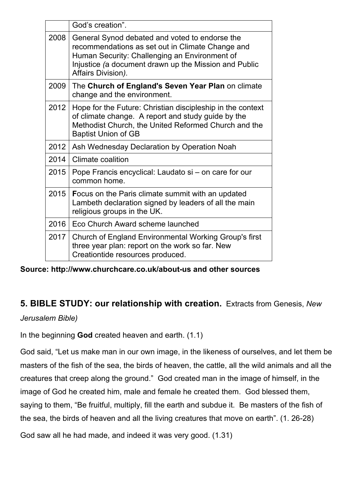|      | God's creation".                                                                                                                                                                                                                   |
|------|------------------------------------------------------------------------------------------------------------------------------------------------------------------------------------------------------------------------------------|
| 2008 | General Synod debated and voted to endorse the<br>recommendations as set out in Climate Change and<br>Human Security: Challenging an Environment of<br>Injustice (a document drawn up the Mission and Public<br>Affairs Division). |
| 2009 | The Church of England's Seven Year Plan on climate<br>change and the environment.                                                                                                                                                  |
| 2012 | Hope for the Future: Christian discipleship in the context<br>of climate change. A report and study guide by the<br>Methodist Church, the United Reformed Church and the<br><b>Baptist Union of GB</b>                             |
| 2012 | Ash Wednesday Declaration by Operation Noah                                                                                                                                                                                        |
| 2014 | Climate coalition                                                                                                                                                                                                                  |
| 2015 | Pope Francis encyclical: Laudato si - on care for our<br>common home.                                                                                                                                                              |
| 2015 | <b>Focus on the Paris climate summit with an updated</b><br>Lambeth declaration signed by leaders of all the main<br>religious groups in the UK.                                                                                   |
| 2016 | Eco Church Award scheme launched                                                                                                                                                                                                   |
| 2017 | Church of England Environmental Working Group's first<br>three year plan: report on the work so far. New<br>Creationtide resources produced.                                                                                       |

**Source: http://www.churchcare.co.uk/about-us and other sources** 

## **5. BIBLE STUDY: our relationship with creation.** Extracts from Genesis, *New*

*Jerusalem Bible)*

In the beginning **God** created heaven and earth. (1.1)

God said, "Let us make man in our own image, in the likeness of ourselves, and let them be masters of the fish of the sea, the birds of heaven, the cattle, all the wild animals and all the creatures that creep along the ground." God created man in the image of himself, in the image of God he created him, male and female he created them. God blessed them, saying to them, "Be fruitful, multiply, fill the earth and subdue it. Be masters of the fish of the sea, the birds of heaven and all the living creatures that move on earth". (1. 26-28)

God saw all he had made, and indeed it was very good. (1.31)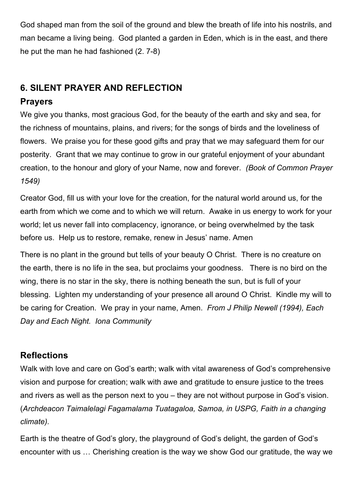God shaped man from the soil of the ground and blew the breath of life into his nostrils, and man became a living being. God planted a garden in Eden, which is in the east, and there he put the man he had fashioned (2. 7-8)

## **6. SILENT PRAYER AND REFLECTION**

### **Prayers**

We give you thanks, most gracious God, for the beauty of the earth and sky and sea, for the richness of mountains, plains, and rivers; for the songs of birds and the loveliness of flowers. We praise you for these good gifts and pray that we may safeguard them for our posterity. Grant that we may continue to grow in our grateful enjoyment of your abundant creation, to the honour and glory of your Name, now and forever. *(Book of Common Prayer 1549)* 

Creator God, fill us with your love for the creation, for the natural world around us, for the earth from which we come and to which we will return. Awake in us energy to work for your world; let us never fall into complacency, ignorance, or being overwhelmed by the task before us. Help us to restore, remake, renew in Jesus' name. Amen

There is no plant in the ground but tells of your beauty O Christ. There is no creature on the earth, there is no life in the sea, but proclaims your goodness. There is no bird on the wing, there is no star in the sky, there is nothing beneath the sun, but is full of your blessing. Lighten my understanding of your presence all around O Christ. Kindle my will to be caring for Creation. We pray in your name, Amen. *From J Philip Newell (1994), Each Day and Each Night. Iona Community*

## **Reflections**

Walk with love and care on God's earth; walk with vital awareness of God's comprehensive vision and purpose for creation; walk with awe and gratitude to ensure justice to the trees and rivers as well as the person next to you – they are not without purpose in God's vision. (*Archdeacon Taimalelagi Fagamalama Tuatagaloa, Samoa, in USPG, Faith in a changing climate).* 

Earth is the theatre of God's glory, the playground of God's delight, the garden of God's encounter with us … Cherishing creation is the way we show God our gratitude, the way we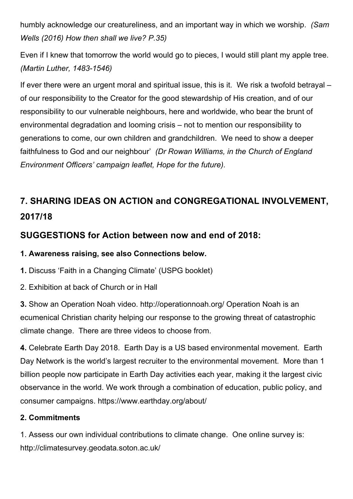humbly acknowledge our creatureliness, and an important way in which we worship. *(Sam Wells (2016) How then shall we live? P.35)*

Even if I knew that tomorrow the world would go to pieces, I would still plant my apple tree. *(Martin Luther, 1483-1546)*

If ever there were an urgent moral and spiritual issue, this is it. We risk a twofold betrayal – of our responsibility to the Creator for the good stewardship of His creation, and of our responsibility to our vulnerable neighbours, here and worldwide, who bear the brunt of environmental degradation and looming crisis – not to mention our responsibility to generations to come, our own children and grandchildren. We need to show a deeper faithfulness to God and our neighbour' *(Dr Rowan Williams, in the Church of England Environment Officers' campaign leaflet, Hope for the future).*

## **7. SHARING IDEAS ON ACTION and CONGREGATIONAL INVOLVEMENT, 2017/18**

## **SUGGESTIONS for Action between now and end of 2018:**

**1. Awareness raising, see also Connections below.** 

**1.** Discuss 'Faith in a Changing Climate' (USPG booklet)

2. Exhibition at back of Church or in Hall

**3.** Show an Operation Noah video. http://operationnoah.org/ Operation Noah is an ecumenical Christian charity helping our response to the growing threat of catastrophic climate change. There are three videos to choose from.

**4.** Celebrate Earth Day 2018. Earth Day is a US based environmental movement. Earth Day Network is the world's largest recruiter to the environmental movement. More than 1 billion people now participate in Earth Day activities each year, making it the largest civic observance in the world. We work through a combination of education, public policy, and consumer campaigns. https://www.earthday.org/about/

#### **2. Commitments**

1. Assess our own individual contributions to climate change. One online survey is: http://climatesurvey.geodata.soton.ac.uk/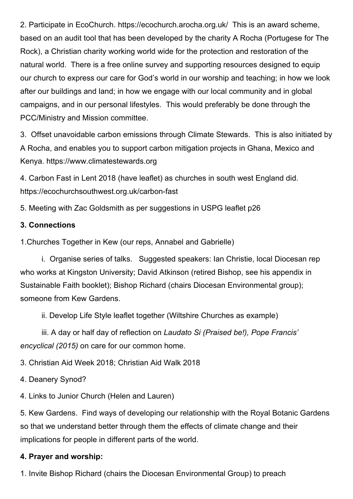2. Participate in EcoChurch. https://ecochurch.arocha.org.uk/ This is an award scheme, based on an audit tool that has been developed by the charity A Rocha (Portugese for The Rock), a Christian charity working world wide for the protection and restoration of the natural world. There is a free online survey and supporting resources designed to equip our church to express our care for God's world in our worship and teaching; in how we look after our buildings and land; in how we engage with our local community and in global campaigns, and in our personal lifestyles. This would preferably be done through the PCC/Ministry and Mission committee.

3. Offset unavoidable carbon emissions through Climate Stewards. This is also initiated by A Rocha, and enables you to support carbon mitigation projects in Ghana, Mexico and Kenya. https://www.climatestewards.org

4. Carbon Fast in Lent 2018 (have leaflet) as churches in south west England did. https://ecochurchsouthwest.org.uk/carbon-fast

5. Meeting with Zac Goldsmith as per suggestions in USPG leaflet p26

#### **3. Connections**

1.Churches Together in Kew (our reps, Annabel and Gabrielle)

i. Organise series of talks. Suggested speakers: Ian Christie, local Diocesan rep who works at Kingston University; David Atkinson (retired Bishop, see his appendix in Sustainable Faith booklet); Bishop Richard (chairs Diocesan Environmental group); someone from Kew Gardens.

ii. Develop Life Style leaflet together (Wiltshire Churches as example)

iii. A day or half day of reflection on *Laudato Si (Praised be!), Pope Francis' encyclical (2015)* on care for our common home.

3. Christian Aid Week 2018; Christian Aid Walk 2018

4. Deanery Synod?

4. Links to Junior Church (Helen and Lauren)

5. Kew Gardens. Find ways of developing our relationship with the Royal Botanic Gardens so that we understand better through them the effects of climate change and their implications for people in different parts of the world.

#### **4. Prayer and worship:**

1. Invite Bishop Richard (chairs the Diocesan Environmental Group) to preach